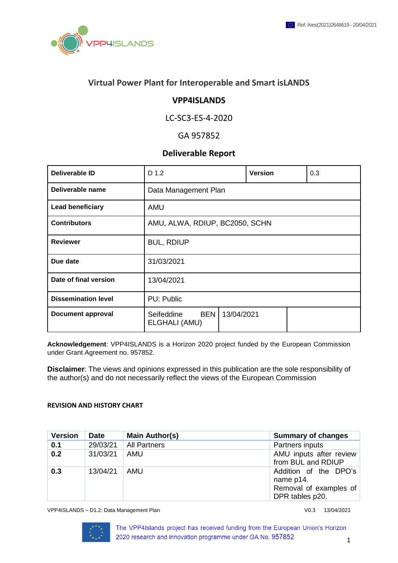

## **Virtual Power Plant for Interoperable and Smart isLANDS**

### **VPP4ISLANDS**

### LC-SC3-ES-4-2020

### GA 957852

### **Deliverable Report**

| Deliverable ID             | D 1.2                                     |            | <b>Version</b> | 0.3 |
|----------------------------|-------------------------------------------|------------|----------------|-----|
| Deliverable name           | Data Management Plan                      |            |                |     |
| <b>Lead beneficiary</b>    | <b>AMU</b>                                |            |                |     |
| <b>Contributors</b>        | AMU, ALWA, RDIUP, BC2050, SCHN            |            |                |     |
| <b>Reviewer</b>            | <b>BUL, RDIUP</b>                         |            |                |     |
| Due date                   | 31/03/2021                                |            |                |     |
| Date of final version      | 13/04/2021                                |            |                |     |
| <b>Dissemination level</b> | PU: Public                                |            |                |     |
| <b>Document approval</b>   | <b>BEN</b><br>Seifeddine<br>ELGHALI (AMU) | 13/04/2021 |                |     |

**Acknowledgement**: VPP4ISLANDS is a Horizon 2020 project funded by the European Commission under Grant Agreement no. 957852.

**Disclaimer**: The views and opinions expressed in this publication are the sole responsibility of the author(s) and do not necessarily reflect the views of the European Commission

#### **REVISION AND HISTORY CHART**

| <b>Version</b> | <b>Date</b> | <b>Main Author(s)</b> | <b>Summary of changes</b>                                                       |
|----------------|-------------|-----------------------|---------------------------------------------------------------------------------|
| 0.1            | 29/03/21    | <b>All Partners</b>   | Partners inputs                                                                 |
| 0.2            | 31/03/21    | <b>AMU</b>            | AMU inputs after review<br>from BUL and RDIUP                                   |
| 0.3            | 13/04/21    | <b>AMU</b>            | Addition of the DPO's<br>name p14.<br>Removal of examples of<br>DPR tables p20. |

VPP4ISLANDS – D1.2: Data Management Plan Vertical Communication of the V0.3 13/04/2021

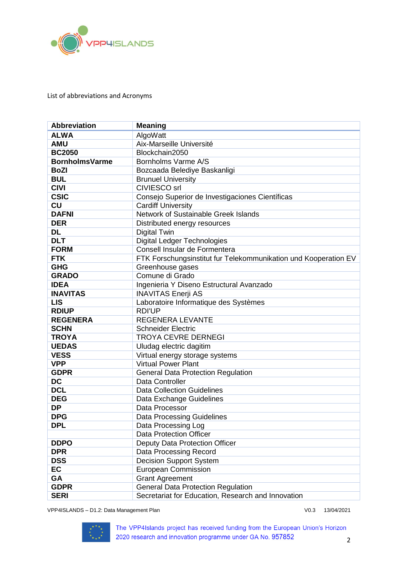

List of abbreviations and Acronyms

| <b>Abbreviation</b>   | <b>Meaning</b>                                                  |
|-----------------------|-----------------------------------------------------------------|
| <b>ALWA</b>           | AlgoWatt                                                        |
| <b>AMU</b>            | Aix-Marseille Université                                        |
| <b>BC2050</b>         | Blockchain2050                                                  |
| <b>BornholmsVarme</b> | Bornholms Varme A/S                                             |
| <b>BoZI</b>           | Bozcaada Belediye Baskanligi                                    |
| <b>BUL</b>            | <b>Brunuel University</b>                                       |
| <b>CIVI</b>           | <b>CIVIESCO srl</b>                                             |
| <b>CSIC</b>           | Consejo Superior de Investigaciones Científicas                 |
| <b>CU</b>             | <b>Cardiff University</b>                                       |
| <b>DAFNI</b>          | Network of Sustainable Greek Islands                            |
| <b>DER</b>            | Distributed energy resources                                    |
| <b>DL</b>             | <b>Digital Twin</b>                                             |
| <b>DLT</b>            | <b>Digital Ledger Technologies</b>                              |
| <b>FORM</b>           | Consell Insular de Formentera                                   |
| <b>FTK</b>            | FTK Forschungsinstitut fur Telekommunikation und Kooperation EV |
| <b>GHG</b>            | Greenhouse gases                                                |
| <b>GRADO</b>          | Comune di Grado                                                 |
| <b>IDEA</b>           | Ingenieria Y Diseno Estructural Avanzado                        |
| <b>INAVITAS</b>       | <b>INAVITAS Enerji AS</b>                                       |
| <b>LIS</b>            | Laboratoire Informatique des Systèmes                           |
| <b>RDIUP</b>          | <b>RDI'UP</b>                                                   |
| <b>REGENERA</b>       | <b>REGENERA LEVANTE</b>                                         |
| <b>SCHN</b>           | <b>Schneider Electric</b>                                       |
| <b>TROYA</b>          | <b>TROYA CEVRE DERNEGI</b>                                      |
| <b>UEDAS</b>          | Uludag electric dagitim                                         |
| <b>VESS</b>           | Virtual energy storage systems                                  |
| <b>VPP</b>            | <b>Virtual Power Plant</b>                                      |
| <b>GDPR</b>           | <b>General Data Protection Regulation</b>                       |
| <b>DC</b>             | Data Controller                                                 |
| <b>DCL</b>            | <b>Data Collection Guidelines</b>                               |
| <b>DEG</b>            | Data Exchange Guidelines                                        |
| <b>DP</b>             | Data Processor                                                  |
| <b>DPG</b>            | <b>Data Processing Guidelines</b>                               |
| <b>DPL</b>            | Data Processing Log                                             |
|                       | <b>Data Protection Officer</b>                                  |
| <b>DDPO</b>           | Deputy Data Protection Officer                                  |
| <b>DPR</b>            | Data Processing Record                                          |
| <b>DSS</b>            | <b>Decision Support System</b>                                  |
| EC                    | <b>European Commission</b>                                      |
| GA                    | <b>Grant Agreement</b>                                          |
| <b>GDPR</b>           | <b>General Data Protection Regulation</b>                       |
| <b>SERI</b>           | Secretariat for Education, Research and Innovation              |

VPP4ISLANDS – D1.2: Data Management Plan Vertical Communication of the V0.3 13/04/2021

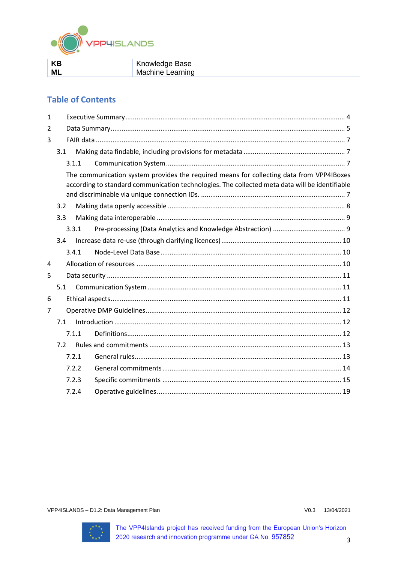

| KB | Knowledge Base   |
|----|------------------|
| M  | Machine Learning |

## **Table of Contents**

| $\mathbf{1}$ |       |                                                                                                                                                                                            |  |
|--------------|-------|--------------------------------------------------------------------------------------------------------------------------------------------------------------------------------------------|--|
| 2            |       |                                                                                                                                                                                            |  |
| 3            |       |                                                                                                                                                                                            |  |
|              | 3.1   |                                                                                                                                                                                            |  |
|              | 3.1.1 |                                                                                                                                                                                            |  |
|              |       | The communication system provides the required means for collecting data from VPP4IBoxes<br>according to standard communication technologies. The collected meta data will be identifiable |  |
|              | 3.2   |                                                                                                                                                                                            |  |
|              | 3.3   |                                                                                                                                                                                            |  |
|              | 3.3.1 |                                                                                                                                                                                            |  |
|              | 3.4   |                                                                                                                                                                                            |  |
|              | 3.4.1 |                                                                                                                                                                                            |  |
| 4            |       |                                                                                                                                                                                            |  |
| 5            |       |                                                                                                                                                                                            |  |
|              | 5.1   |                                                                                                                                                                                            |  |
| 6            |       |                                                                                                                                                                                            |  |
| 7            |       |                                                                                                                                                                                            |  |
|              | 7.1   |                                                                                                                                                                                            |  |
|              | 7.1.1 |                                                                                                                                                                                            |  |
|              | 7.2   |                                                                                                                                                                                            |  |
|              | 7.2.1 |                                                                                                                                                                                            |  |
|              | 7.2.2 |                                                                                                                                                                                            |  |
|              | 7.2.3 |                                                                                                                                                                                            |  |
|              | 7.2.4 |                                                                                                                                                                                            |  |

VPP4ISLANDS - D1.2: Data Management Plan

V0.3 13/04/2021

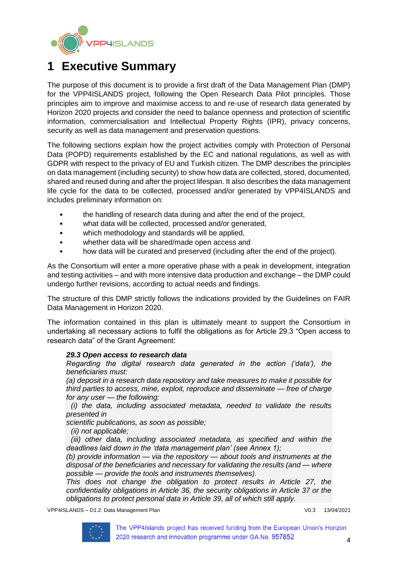

# <span id="page-3-0"></span>**1 Executive Summary**

The purpose of this document is to provide a first draft of the Data Management Plan (DMP) for the VPP4ISLANDS project, following the Open Research Data Pilot principles. Those principles aim to improve and maximise access to and re-use of research data generated by Horizon 2020 projects and consider the need to balance openness and protection of scientific information, commercialisation and Intellectual Property Rights (IPR), privacy concerns, security as well as data management and preservation questions.

The following sections explain how the project activities comply with Protection of Personal Data (POPD) requirements established by the EC and national regulations, as well as with GDPR with respect to the privacy of EU and Turkish citizen. The DMP describes the principles on data management (including security) to show how data are collected, stored, documented, shared and reused during and after the project lifespan. It also describes the data management life cycle for the data to be collected, processed and/or generated by VPP4ISLANDS and includes preliminary information on:

- the handling of research data during and after the end of the project,
- what data will be collected, processed and/or generated,
- which methodology and standards will be applied,
- whether data will be shared/made open access and
- how data will be curated and preserved (including after the end of the project).

As the Consortium will enter a more operative phase with a peak in development, integration and testing activities – and with more intensive data production and exchange – the DMP could undergo further revisions, according to actual needs and findings.

The structure of this DMP strictly follows the indications provided by the Guidelines on FAIR Data Management in Horizon 2020.

The information contained in this plan is ultimately meant to support the Consortium in undertaking all necessary actions to fulfil the obligations as for Article 29.3 "Open access to research data" of the Grant Agreement:

#### *29.3 Open access to research data*

*Regarding the digital research data generated in the action ('data'), the beneficiaries must:*

*(a) deposit in a research data repository and take measures to make it possible for third parties to access, mine, exploit, reproduce and disseminate — free of charge for any user — the following:*

*(i) the data, including associated metadata, needed to validate the results presented in*

*scientific publications, as soon as possible;*

*(ii) not applicable;*

*(iii) other data, including associated metadata, as specified and within the deadlines laid down in the 'data management plan' (see Annex 1);*

*(b) provide information — via the repository — about tools and instruments at the disposal of the beneficiaries and necessary for validating the results (and — where possible — provide the tools and instruments themselves).*

*This does not change the obligation to protect results in Article 27, the confidentiality obligations in Article 36, the security obligations in Article 37 or the obligations to protect personal data in Article 39, all of which still apply.*

VPP4ISLANDS – D1.2: Data Management Plan V0.3 13/04/2021

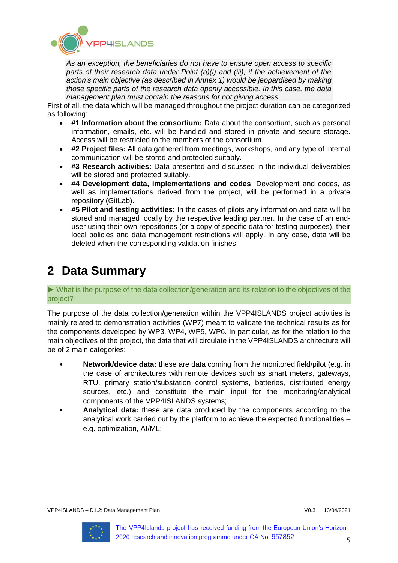

*As an exception, the beneficiaries do not have to ensure open access to specific parts of their research data under Point (a)(i) and (iii), if the achievement of the action's main objective (as described in Annex 1) would be jeopardised by making those specific parts of the research data openly accessible. In this case, the data management plan must contain the reasons for not giving access.*

First of all, the data which will be managed throughout the project duration can be categorized as following:

- **#1 Information about the consortium:** Data about the consortium, such as personal information, emails, etc. will be handled and stored in private and secure storage. Access will be restricted to the members of the consortium.
- **#2 Project files:** All data gathered from meetings, workshops, and any type of internal communication will be stored and protected suitably.
- **#3 Research activities:** Data presented and discussed in the individual deliverables will be stored and protected suitably.
- #**4 Development data, implementations and codes**: Development and codes, as well as implementations derived from the project, will be performed in a private repository (GitLab).
- **#5 Pilot and testing activities:** In the cases of pilots any information and data will be stored and managed locally by the respective leading partner. In the case of an enduser using their own repositories (or a copy of specific data for testing purposes), their local policies and data management restrictions will apply. In any case, data will be deleted when the corresponding validation finishes.

# <span id="page-4-0"></span>**2 Data Summary**

► What is the purpose of the data collection/generation and its relation to the objectives of the project?

The purpose of the data collection/generation within the VPP4ISLANDS project activities is mainly related to demonstration activities (WP7) meant to validate the technical results as for the components developed by WP3, WP4, WP5, WP6. In particular, as for the relation to the main objectives of the project, the data that will circulate in the VPP4ISLANDS architecture will be of 2 main categories:

- **Network/device data:** these are data coming from the monitored field/pilot (e.g. in the case of architectures with remote devices such as smart meters, gateways, RTU, primary station/substation control systems, batteries, distributed energy sources, etc.) and constitute the main input for the monitoring/analytical components of the VPP4ISLANDS systems;
- **Analytical data:** these are data produced by the components according to the analytical work carried out by the platform to achieve the expected functionalities – e.g. optimization, AI/ML;

VPP4ISLANDS – D1.2: Data Management Plan V0.3 13/04/2021

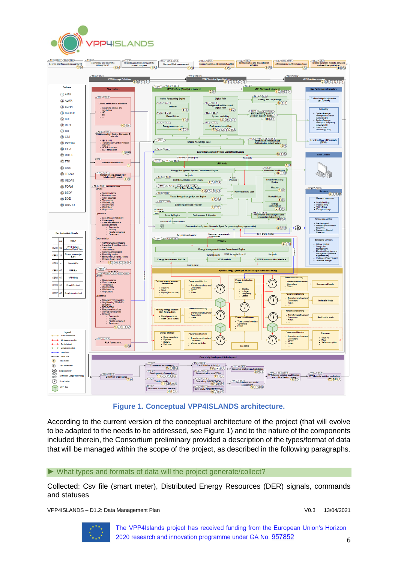



**Figure 1. Conceptual VPP4ISLANDS architecture.**

<span id="page-5-0"></span>According to the current version of the conceptual architecture of the project (that will evolve to be adapted to the needs to be addressed, see [Figure 1\)](#page-5-0) and to the nature of the components included therein, the Consortium preliminary provided a description of the types/format of data that will be managed within the scope of the project, as described in the following paragraphs.

### ► What types and formats of data will the project generate/collect?

Collected: Csv file (smart meter), Distributed Energy Resources (DER) signals, commands and statuses

VPP4ISLANDS – D1.2: Data Management Plan V0.3 13/04/2021

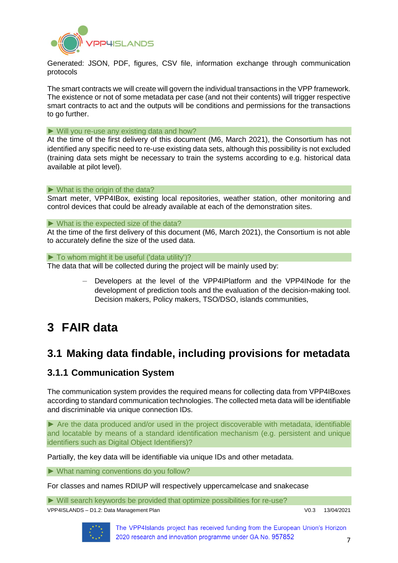

Generated: JSON, PDF, figures, CSV file, information exchange through communication protocols

The smart contracts we will create will govern the individual transactions in the VPP framework. The existence or not of some metadata per case (and not their contents) will trigger respective smart contracts to act and the outputs will be conditions and permissions for the transactions to go further.

#### ► Will you re-use any existing data and how?

At the time of the first delivery of this document (M6, March 2021), the Consortium has not identified any specific need to re-use existing data sets, although this possibility is not excluded (training data sets might be necessary to train the systems according to e.g. historical data available at pilot level).

#### $\triangleright$  What is the origin of the data?

Smart meter, VPP4IBox, existing local repositories, weather station, other monitoring and control devices that could be already available at each of the demonstration sites.

#### $\triangleright$  What is the expected size of the data?

At the time of the first delivery of this document (M6, March 2021), the Consortium is not able to accurately define the size of the used data.

► To whom might it be useful ('data utility')?

The data that will be collected during the project will be mainly used by:

– Developers at the level of the VPP4IPlatform and the VPP4INode for the development of prediction tools and the evaluation of the decision-making tool. Decision makers, Policy makers, TSO/DSO, islands communities,

# <span id="page-6-0"></span>**3 FAIR data**

# <span id="page-6-1"></span>**3.1 Making data findable, including provisions for metadata**

## <span id="page-6-2"></span>**3.1.1 Communication System**

<span id="page-6-3"></span>The communication system provides the required means for collecting data from VPP4IBoxes according to standard communication technologies. The collected meta data will be identifiable and discriminable via unique connection IDs.

► Are the data produced and/or used in the project discoverable with metadata, identifiable and locatable by means of a standard identification mechanism (e.g. persistent and unique identifiers such as Digital Object Identifiers)?

Partially, the key data will be identifiable via unique IDs and other metadata.

► What naming conventions do you follow?

For classes and names RDIUP will respectively uppercamelcase and snakecase

► Will search keywords be provided that optimize possibilities for re-use?

VPP4ISLANDS – D1.2: Data Management Plan Version Communication Communication V0.3 13/04/2021

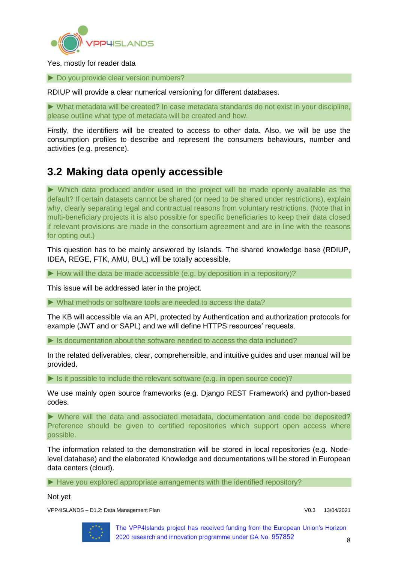

Yes, mostly for reader data

► Do you provide clear version numbers?

RDIUP will provide a clear numerical versioning for different databases.

► What metadata will be created? In case metadata standards do not exist in your discipline, please outline what type of metadata will be created and how.

Firstly, the identifiers will be created to access to other data. Also, we will be use the consumption profiles to describe and represent the consumers behaviours, number and activities (e.g. presence).

# <span id="page-7-0"></span>**3.2 Making data openly accessible**

► Which data produced and/or used in the project will be made openly available as the default? If certain datasets cannot be shared (or need to be shared under restrictions), explain why, clearly separating legal and contractual reasons from voluntary restrictions. (Note that in multi-beneficiary projects it is also possible for specific beneficiaries to keep their data closed if relevant provisions are made in the consortium agreement and are in line with the reasons for opting out.)

This question has to be mainly answered by Islands. The shared knowledge base (RDIUP, IDEA, REGE, FTK, AMU, BUL) will be totally accessible.

► How will the data be made accessible (e.g. by deposition in a repository)?

This issue will be addressed later in the project.

► What methods or software tools are needed to access the data?

The KB will accessible via an API, protected by Authentication and authorization protocols for example (JWT and or SAPL) and we will define HTTPS resources' requests.

► Is documentation about the software needed to access the data included?

In the related deliverables, clear, comprehensible, and intuitive guides and user manual will be provided.

 $\blacktriangleright$  Is it possible to include the relevant software (e.g. in open source code)?

We use mainly open source frameworks (e.g. Django REST Framework) and python-based codes.

► Where will the data and associated metadata, documentation and code be deposited? Preference should be given to certified repositories which support open access where possible.

The information related to the demonstration will be stored in local repositories (e.g. Nodelevel database) and the elaborated Knowledge and documentations will be stored in European data centers (cloud).

► Have you explored appropriate arrangements with the identified repository?

Not yet

VPP4ISLANDS – D1.2: Data Management Plan V0.3 13/04/2021

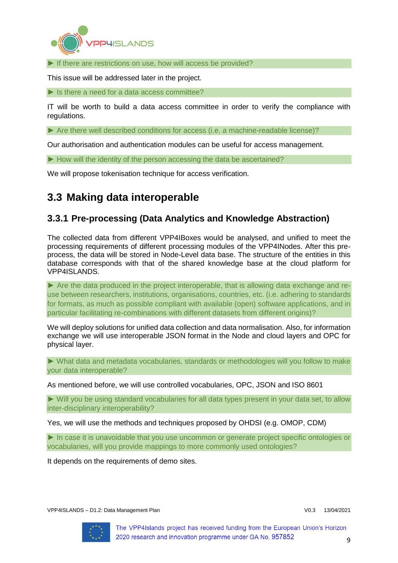

► If there are restrictions on use, how will access be provided?

This issue will be addressed later in the project.

 $\blacktriangleright$  Is there a need for a data access committee?

IT will be worth to build a data access committee in order to verify the compliance with regulations.

► Are there well described conditions for access (i.e. a machine-readable license)?

Our authorisation and authentication modules can be useful for access management.

► How will the identity of the person accessing the data be ascertained?

We will propose tokenisation technique for access verification.

# <span id="page-8-0"></span>**3.3 Making data interoperable**

## <span id="page-8-1"></span>**3.3.1 Pre-processing (Data Analytics and Knowledge Abstraction)**

The collected data from different VPP4IBoxes would be analysed, and unified to meet the processing requirements of different processing modules of the VPP4INodes. After this preprocess, the data will be stored in Node-Level data base. The structure of the entities in this database corresponds with that of the shared knowledge base at the cloud platform for VPP4ISLANDS.

► Are the data produced in the project interoperable, that is allowing data exchange and reuse between researchers, institutions, organisations, countries, etc. (i.e. adhering to standards for formats, as much as possible compliant with available (open) software applications, and in particular facilitating re-combinations with different datasets from different origins)?

We will deploy solutions for unified data collection and data normalisation. Also, for information exchange we will use interoperable JSON format in the Node and cloud layers and OPC for physical layer.

► What data and metadata vocabularies, standards or methodologies will you follow to make your data interoperable?

As mentioned before, we will use controlled vocabularies, OPC, JSON and ISO 8601

► Will you be using standard vocabularies for all data types present in your data set, to allow inter-disciplinary interoperability?

Yes, we will use the methods and techniques proposed by OHDSI (e.g. OMOP, CDM)

▶ In case it is unavoidable that you use uncommon or generate project specific ontologies or vocabularies, will you provide mappings to more commonly used ontologies?

It depends on the requirements of demo sites.

VPP4ISLANDS – D1.2: Data Management Plan V0.3 13/04/2021

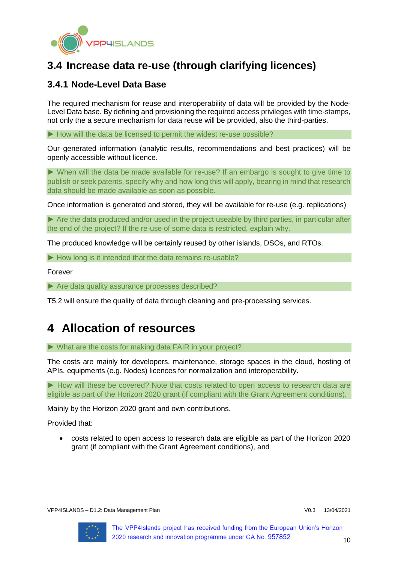

# <span id="page-9-0"></span>**3.4 Increase data re-use (through clarifying licences)**

# <span id="page-9-1"></span>**3.4.1 Node-Level Data Base**

The required mechanism for reuse and interoperability of data will be provided by the Node-Level Data base. By defining and provisioning the required access privileges with time-stamps, not only the a secure mechanism for data reuse will be provided, also the third-parties.

► How will the data be licensed to permit the widest re-use possible?

Our generated information (analytic results, recommendations and best practices) will be openly accessible without licence.

► When will the data be made available for re-use? If an embargo is sought to give time to publish or seek patents, specify why and how long this will apply, bearing in mind that research data should be made available as soon as possible.

Once information is generated and stored, they will be available for re-use (e.g. replications)

► Are the data produced and/or used in the project useable by third parties, in particular after the end of the project? If the re-use of some data is restricted, explain why.

The produced knowledge will be certainly reused by other islands, DSOs, and RTOs.

► How long is it intended that the data remains re-usable?

Forever

► Are data quality assurance processes described?

T5.2 will ensure the quality of data through cleaning and pre-processing services.

# <span id="page-9-2"></span>**4 Allocation of resources**

► What are the costs for making data FAIR in your project?

The costs are mainly for developers, maintenance, storage spaces in the cloud, hosting of APIs, equipments (e.g. Nodes) licences for normalization and interoperability.

► How will these be covered? Note that costs related to open access to research data are eligible as part of the Horizon 2020 grant (if compliant with the Grant Agreement conditions).

Mainly by the Horizon 2020 grant and own contributions.

Provided that:

• costs related to open access to research data are eligible as part of the Horizon 2020 grant (if compliant with the Grant Agreement conditions), and

VPP4ISLANDS – D1.2: Data Management Plan V0.3 13/04/2021

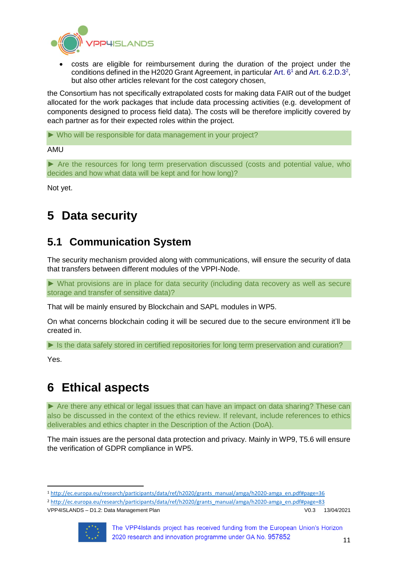

• costs are eligible for reimbursement during the duration of the project under the conditions defined in the H2020 Grant Agreement, in particular Art.  $6<sup>1</sup>$  and Art. 6.2.D.3<sup>2</sup>, but also other articles relevant for the cost category chosen,

the Consortium has not specifically extrapolated costs for making data FAIR out of the budget allocated for the work packages that include data processing activities (e.g. development of components designed to process field data). The costs will be therefore implicitly covered by each partner as for their expected roles within the project.

► Who will be responsible for data management in your project?

AMU

► Are the resources for long term preservation discussed (costs and potential value, who decides and how what data will be kept and for how long)?

Not yet.

# <span id="page-10-0"></span>**5 Data security**

# <span id="page-10-1"></span>**5.1 Communication System**

The security mechanism provided along with communications, will ensure the security of data that transfers between different modules of the VPPI-Node.

► What provisions are in place for data security (including data recovery as well as secure storage and transfer of sensitive data)?

That will be mainly ensured by Blockchain and SAPL modules in WP5.

On what concerns blockchain coding it will be secured due to the secure environment it'll be created in.

► Is the data safely stored in certified repositories for long term preservation and curation?

Yes.

**.** 

# <span id="page-10-2"></span>**6 Ethical aspects**

► Are there any ethical or legal issues that can have an impact on data sharing? These can also be discussed in the context of the ethics review. If relevant, include references to ethics deliverables and ethics chapter in the Description of the Action (DoA).

The main issues are the personal data protection and privacy. Mainly in WP9, T5.6 will ensure the verification of GDPR compliance in WP5.

<sup>2</sup> [http://ec.europa.eu/research/participants/data/ref/h2020/grants\\_manual/amga/h2020-amga\\_en.pdf#page=83](http://ec.europa.eu/research/participants/data/ref/h2020/grants_manual/amga/h2020-amga_en.pdf#page=83)



<sup>1</sup> [http://ec.europa.eu/research/participants/data/ref/h2020/grants\\_manual/amga/h2020-amga\\_en.pdf#page=36](http://ec.europa.eu/research/participants/data/ref/h2020/grants_manual/amga/h2020-amga_en.pdf#page=36)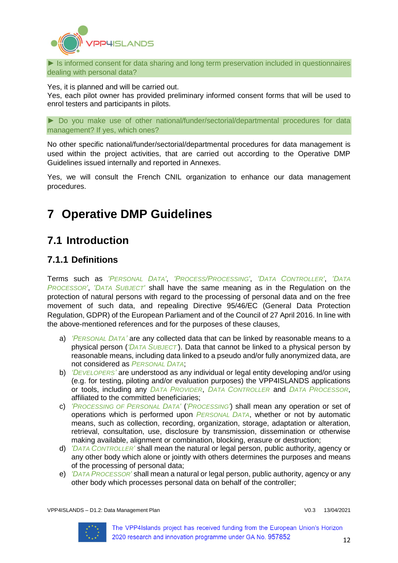

► Is informed consent for data sharing and long term preservation included in questionnaires dealing with personal data?

Yes, it is planned and will be carried out.

Yes, each pilot owner has provided preliminary informed consent forms that will be used to enrol testers and participants in pilots.

► Do you make use of other national/funder/sectorial/departmental procedures for data management? If yes, which ones?

No other specific national/funder/sectorial/departmental procedures for data management is used within the project activities, that are carried out according to the Operative DMP Guidelines issued internally and reported in Annexes.

Yes, we will consult the French CNIL organization to enhance our data management procedures.

# <span id="page-11-0"></span>**7 Operative DMP Guidelines**

# <span id="page-11-1"></span>**7.1 Introduction**

# <span id="page-11-2"></span>**7.1.1 Definitions**

Terms such as *'PERSONAL DATA'*, *'PROCESS/PROCESSING'*, *'DATA CONTROLLER'*, *'DATA PROCESSOR'*, *'DATA SUBJECT'* shall have the same meaning as in the Regulation on the protection of natural persons with regard to the processing of personal data and on the free movement of such data, and repealing Directive 95/46/EC (General Data Protection Regulation, GDPR) of the European Parliament and of the Council of 27 April 2016. In line with the above-mentioned references and for the purposes of these clauses,

- a) *'PERSONAL DATA'* are any collected data that can be linked by reasonable means to a physical person (*'DATA SUBJECT'*). Data that cannot be linked to a physical person by reasonable means, including data linked to a pseudo and/or fully anonymized data, are not considered as *PERSONAL DATA*;
- b) *'DEVELOPERS'* are understood as any individual or legal entity developing and/or using (e.g. for testing, piloting and/or evaluation purposes) the VPP4ISLANDS applications or tools, including any *DATA PROVIDER*, *DATA CONTROLLER* and *DATA PROCESSOR*, affiliated to the committed beneficiaries;
- c) *'PROCESSING OF PERSONAL DATA'* (*'PROCESSING'*) shall mean any operation or set of operations which is performed upon *PERSONAL DATA*, whether or not by automatic means, such as collection, recording, organization, storage, adaptation or alteration, retrieval, consultation, use, disclosure by transmission, dissemination or otherwise making available, alignment or combination, blocking, erasure or destruction;
- d) *'DATA CONTROLLER'* shall mean the natural or legal person, public authority, agency or any other body which alone or jointly with others determines the purposes and means of the processing of personal data;
- e) *'DATA PROCESSOR'* shall mean a natural or legal person, public authority, agency or any other body which processes personal data on behalf of the controller;

VPP4ISLANDS – D1.2: Data Management Plan V0.3 13/04/2021

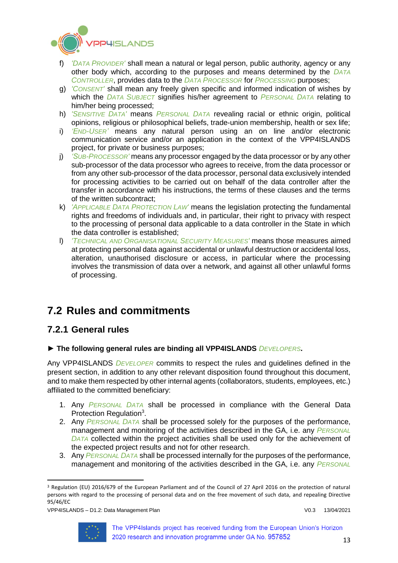

- f) *'DATA PROVIDER'* shall mean a natural or legal person, public authority, agency or any other body which, according to the purposes and means determined by the *DATA CONTROLLER*, provides data to the *DATA PROCESSOR* for *PROCESSING* purposes;
- g) *'CONSENT'* shall mean any freely given specific and informed indication of wishes by which the *DATA SUBJECT* signifies his/her agreement to *PERSONAL DATA* relating to him/her being processed;
- h) *'SENSITIVE DATA'* means *PERSONAL DATA* revealing racial or ethnic origin, political opinions, religious or philosophical beliefs, trade-union membership, health or sex life;
- i) *'END-USER'* means any natural person using an on line and/or electronic communication service and/or an application in the context of the VPP4ISLANDS project, for private or business purposes;
- j) *'SUB-PROCESSOR'* means any processor engaged by the data processor or by any other sub-processor of the data processor who agrees to receive, from the data processor or from any other sub-processor of the data processor, personal data exclusively intended for processing activities to be carried out on behalf of the data controller after the transfer in accordance with his instructions, the terms of these clauses and the terms of the written subcontract;
- k) *'APPLICABLE DATA PROTECTION LAW'* means the legislation protecting the fundamental rights and freedoms of individuals and, in particular, their right to privacy with respect to the processing of personal data applicable to a data controller in the State in which the data controller is established;
- l) *'TECHNICAL AND ORGANISATIONAL SECURITY MEASURES'* means those measures aimed at protecting personal data against accidental or unlawful destruction or accidental loss, alteration, unauthorised disclosure or access, in particular where the processing involves the transmission of data over a network, and against all other unlawful forms of processing.

# <span id="page-12-0"></span>**7.2 Rules and commitments**

# <span id="page-12-1"></span>**7.2.1 General rules**

## **► The following general rules are binding all VPP4ISLANDS** *DEVELOPERS***.**

Any VPP4ISLANDS *DEVELOPER* commits to respect the rules and guidelines defined in the present section, in addition to any other relevant disposition found throughout this document, and to make them respected by other internal agents (collaborators, students, employees, etc.) affiliated to the committed beneficiary:

- 1. Any *PERSONAL DATA* shall be processed in compliance with the General Data Protection Regulation<sup>3</sup>.
- 2. Any *PERSONAL DATA* shall be processed solely for the purposes of the performance, management and monitoring of the activities described in the GA, i.e. any *PERSONAL DATA* collected within the project activities shall be used only for the achievement of the expected project results and not for other research.
- 3. Any *PERSONAL DATA* shall be processed internally for the purposes of the performance, management and monitoring of the activities described in the GA, i.e. any *PERSONAL*



**<sup>.</sup>** <sup>3</sup> Regulation (EU) 2016/679 of the European Parliament and of the Council of 27 April 2016 on the protection of natural persons with regard to the processing of personal data and on the free movement of such data, and repealing Directive 95/46/EC

VPP4ISLANDS – D1.2: Data Management Plan V0.3 13/04/2021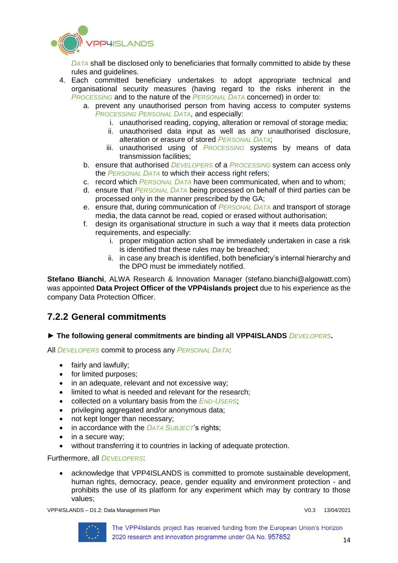

*DATA* shall be disclosed only to beneficiaries that formally committed to abide by these rules and guidelines.

- 4. Each committed beneficiary undertakes to adopt appropriate technical and organisational security measures (having regard to the risks inherent in the *PROCESSING* and to the nature of the *PERSONAL DATA* concerned) in order to:
	- a. prevent any unauthorised person from having access to computer systems *PROCESSING PERSONAL DATA*, and especially:
		- i. unauthorised reading, copying, alteration or removal of storage media;
		- ii. unauthorised data input as well as any unauthorised disclosure, alteration or erasure of stored *PERSONAL DATA*;
		- iii. unauthorised using of *PROCESSING* systems by means of data transmission facilities;
	- b. ensure that authorised *DEVELOPERS* of a *PROCESSING* system can access only the *PERSONAL DATA* to which their access right refers;
	- c. record which *PERSONAL DATA* have been communicated, when and to whom;
	- d. ensure that *PERSONAL DATA* being processed on behalf of third parties can be processed only in the manner prescribed by the GA;
	- e. ensure that, during communication of *PERSONAL DATA* and transport of storage media, the data cannot be read, copied or erased without authorisation;
	- f. design its organisational structure in such a way that it meets data protection requirements, and especially:
		- i. proper mitigation action shall be immediately undertaken in case a risk is identified that these rules may be breached;
		- ii. in case any breach is identified, both beneficiary's internal hierarchy and the DPO must be immediately notified.

**Stefano Bianchi**, ALWA Research & Innovation Manager (stefano.bianchi@algowatt.com) was appointed **Data Project Officer of the VPP4islands project** due to his experience as the company Data Protection Officer.

## <span id="page-13-0"></span>**7.2.2 General commitments**

### **► The following general commitments are binding all VPP4ISLANDS** *DEVELOPERS***.**

All *DEVELOPERS* commit to process any *PERSONAL DATA*:

- fairly and lawfully;
- for limited purposes;
- in an adequate, relevant and not excessive way;
- limited to what is needed and relevant for the research;
- collected on a voluntary basis from the *END-USERS*;
- privileging aggregated and/or anonymous data;
- not kept longer than necessary;
- in accordance with the *DATA SUBJECT*'s rights;
- in a secure way:
- without transferring it to countries in lacking of adequate protection.

Furthermore, all *DEVELOPERS*:

• acknowledge that VPP4ISLANDS is committed to promote sustainable development, human rights, democracy, peace, gender equality and environment protection - and prohibits the use of its platform for any experiment which may by contrary to those values;

VPP4ISLANDS – D1.2: Data Management Plan Vertical Communication of the V0.3 13/04/2021

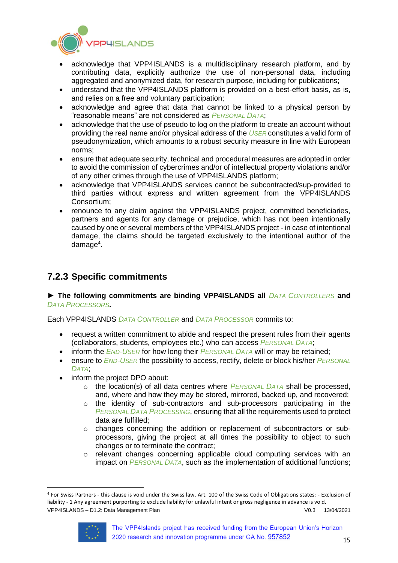

- acknowledge that VPP4ISLANDS is a multidisciplinary research platform, and by contributing data, explicitly authorize the use of non-personal data, including aggregated and anonymized data, for research purpose, including for publications;
- understand that the VPP4ISLANDS platform is provided on a best-effort basis, as is, and relies on a free and voluntary participation;
- acknowledge and agree that data that cannot be linked to a physical person by "reasonable means" are not considered as *PERSONAL DATA*;
- acknowledge that the use of pseudo to log on the platform to create an account without providing the real name and/or physical address of the *USER* constitutes a valid form of pseudonymization, which amounts to a robust security measure in line with European norms;
- ensure that adequate security, technical and procedural measures are adopted in order to avoid the commission of cybercrimes and/or of intellectual property violations and/or of any other crimes through the use of VPP4ISLANDS platform;
- acknowledge that VPP4ISLANDS services cannot be subcontracted/sup-provided to third parties without express and written agreement from the VPP4ISLANDS Consortium;
- renounce to any claim against the VPP4ISLANDS project, committed beneficiaries, partners and agents for any damage or prejudice, which has not been intentionally caused by one or several members of the VPP4ISLANDS project - in case of intentional damage, the claims should be targeted exclusively to the intentional author of the damage<sup>4</sup>.

# <span id="page-14-0"></span>**7.2.3 Specific commitments**

### ▶ The following commitments are binding VPP4ISLANDS all *DATA CONTROLLERS* and *DATA PROCESSORS***.**

Each VPP4ISLANDS *DATA CONTROLLER* and *DATA PROCESSOR* commits to:

- request a written commitment to abide and respect the present rules from their agents (collaborators, students, employees etc.) who can access *PERSONAL DATA*;
- inform the *END-USER* for how long their *PERSONAL DATA* will or may be retained;
- ensure to *END-USER* the possibility to access, rectify, delete or block his/her *PERSONAL DATA*;
- inform the project DPO about:
	- o the location(s) of all data centres where *PERSONAL DATA* shall be processed, and, where and how they may be stored, mirrored, backed up, and recovered;
	- $\circ$  the identity of sub-contractors and sub-processors participating in the *PERSONAL DATA PROCESSING*, ensuring that all the requirements used to protect data are fulfilled;
	- $\circ$  changes concerning the addition or replacement of subcontractors or subprocessors, giving the project at all times the possibility to object to such changes or to terminate the contract;
	- $\circ$  relevant changes concerning applicable cloud computing services with an impact on *PERSONAL DATA*, such as the implementation of additional functions;

VPP4ISLANDS – D1.2: Data Management Plan V0.3 13/04/2021 <sup>4</sup> For Swiss Partners - this clause is void under the Swiss law. Art. 100 of the Swiss Code of Obligations states: - Exclusion of liability - 1 Any agreement purporting to exclude liability for unlawful intent or gross negligence in advance is void.



**.**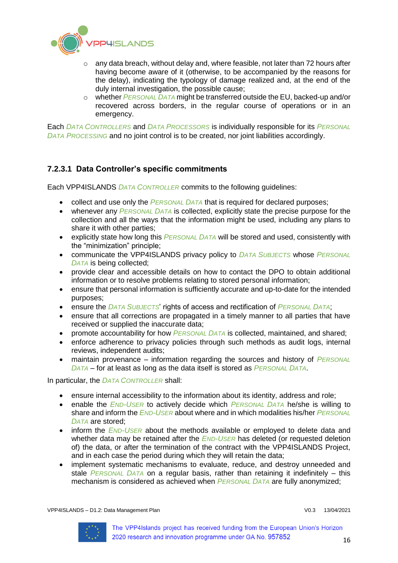

- $\circ$  any data breach, without delay and, where feasible, not later than 72 hours after having become aware of it (otherwise, to be accompanied by the reasons for the delay), indicating the typology of damage realized and, at the end of the duly internal investigation, the possible cause;
- o whether *PERSONAL DATA* might be transferred outside the EU, backed-up and/or recovered across borders, in the regular course of operations or in an emergency.

Each *DATA CONTROLLERS* and *DATA PROCESSORS* is individually responsible for its *PERSONAL DATA PROCESSING* and no joint control is to be created, nor joint liabilities accordingly.

### **7.2.3.1 Data Controller's specific commitments**

Each VPP4ISLANDS *DATA CONTROLLER* commits to the following guidelines:

- collect and use only the *PERSONAL DATA* that is required for declared purposes:
- whenever any *PERSONAL DATA* is collected, explicitly state the precise purpose for the collection and all the ways that the information might be used, including any plans to share it with other parties;
- explicitly state how long this *PERSONAL DATA* will be stored and used, consistently with the "minimization" principle;
- communicate the VPP4ISLANDS privacy policy to *DATA SUBJECTS* whose *PERSONAL DATA* is being collected;
- provide clear and accessible details on how to contact the DPO to obtain additional information or to resolve problems relating to stored personal information;
- ensure that personal information is sufficiently accurate and up-to-date for the intended purposes;
- ensure the *DATA SUBJECTS*' rights of access and rectification of *PERSONAL DATA*;
- ensure that all corrections are propagated in a timely manner to all parties that have received or supplied the inaccurate data;
- promote accountability for how *PERSONAL DATA* is collected, maintained, and shared;
- enforce adherence to privacy policies through such methods as audit logs, internal reviews, independent audits;
- maintain provenance information regarding the sources and history of *PERSONAL DATA* – for at least as long as the data itself is stored as *PERSONAL DATA*.

In particular, the *DATA CONTROLLER* shall:

- ensure internal accessibility to the information about its identity, address and role;
- enable the *END-USER* to actively decide which *PERSONAL DATA* he/she is willing to share and inform the *END-USER* about where and in which modalities his/her *PERSONAL DATA* are stored;
- inform the *END-USER* about the methods available or employed to delete data and whether data may be retained after the *END-USER* has deleted (or requested deletion of) the data, or after the termination of the contract with the VPP4ISLANDS Project, and in each case the period during which they will retain the data;
- implement systematic mechanisms to evaluate, reduce, and destroy unneeded and stale *PERSONAL DATA* on a regular basis, rather than retaining it indefinitely – this mechanism is considered as achieved when *PERSONAL DATA* are fully anonymized;

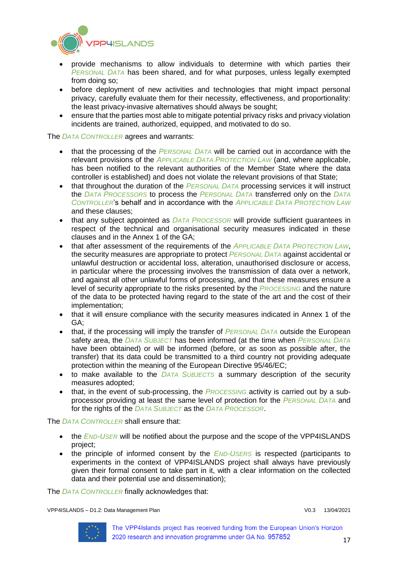

- provide mechanisms to allow individuals to determine with which parties their *PERSONAL DATA* has been shared, and for what purposes, unless legally exempted from doing so;
- before deployment of new activities and technologies that might impact personal privacy, carefully evaluate them for their necessity, effectiveness, and proportionality: the least privacy-invasive alternatives should always be sought;
- ensure that the parties most able to mitigate potential privacy risks and privacy violation incidents are trained, authorized, equipped, and motivated to do so.

The *DATA CONTROLLER* agrees and warrants:

- that the processing of the *PERSONAL DATA* will be carried out in accordance with the relevant provisions of the *APPLICABLE DATA PROTECTION LAW* (and, where applicable, has been notified to the relevant authorities of the Member State where the data controller is established) and does not violate the relevant provisions of that State;
- that throughout the duration of the *PERSONAL DATA* processing services it will instruct the *DATA PROCESSORS* to process the *PERSONAL DATA* transferred only on the *DATA CONTROLLER*'s behalf and in accordance with the *APPLICABLE DATA PROTECTION LAW* and these clauses;
- that any subject appointed as *DATA PROCESSOR* will provide sufficient guarantees in respect of the technical and organisational security measures indicated in these clauses and in the Annex 1 of the GA;
- that after assessment of the requirements of the *APPLICABLE DATA PROTECTION LAW*, the security measures are appropriate to protect *PERSONAL DATA* against accidental or unlawful destruction or accidental loss, alteration, unauthorised disclosure or access, in particular where the processing involves the transmission of data over a network, and against all other unlawful forms of processing, and that these measures ensure a level of security appropriate to the risks presented by the *PROCESSING* and the nature of the data to be protected having regard to the state of the art and the cost of their implementation;
- that it will ensure compliance with the security measures indicated in Annex 1 of the GA;
- that, if the processing will imply the transfer of *PERSONAL DATA* outside the European safety area, the *DATA SUBJECT* has been informed (at the time when *PERSONAL DATA* have been obtained) or will be informed (before, or as soon as possible after, the transfer) that its data could be transmitted to a third country not providing adequate protection within the meaning of the European Directive 95/46/EC;
- to make available to the *DATA SUBJECTS* a summary description of the security measures adopted;
- that, in the event of sub-processing, the *PROCESSING* activity is carried out by a subprocessor providing at least the same level of protection for the *PERSONAL DATA* and for the rights of the *DATA SUBJECT* as the *DATA PROCESSOR*.

The *DATA CONTROLLER* shall ensure that:

- the *END-USER* will be notified about the purpose and the scope of the VPP4ISLANDS project;
- the principle of informed consent by the *END-USERS* is respected (participants to experiments in the context of VPP4ISLANDS project shall always have previously given their formal consent to take part in it, with a clear information on the collected data and their potential use and dissemination);

The *DATA CONTROLLER* finally acknowledges that:

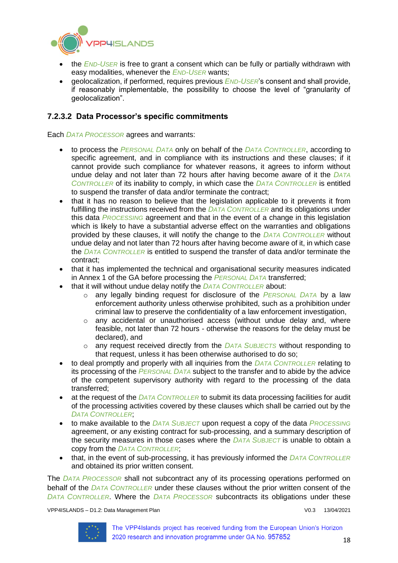

- the *END-USER* is free to grant a consent which can be fully or partially withdrawn with easy modalities, whenever the *END-USER* wants;
- geolocalization, if performed, requires previous *END-USER*'s consent and shall provide, if reasonably implementable, the possibility to choose the level of "granularity of geolocalization".

### **7.2.3.2 Data Processor's specific commitments**

Each *DATA PROCESSOR* agrees and warrants:

- to process the *PERSONAL DATA* only on behalf of the *DATA CONTROLLER*, according to specific agreement, and in compliance with its instructions and these clauses; if it cannot provide such compliance for whatever reasons, it agrees to inform without undue delay and not later than 72 hours after having become aware of it the *DATA CONTROLLER* of its inability to comply, in which case the *DATA CONTROLLER* is entitled to suspend the transfer of data and/or terminate the contract;
- that it has no reason to believe that the legislation applicable to it prevents it from fulfilling the instructions received from the *DATA CONTROLLER* and its obligations under this data *PROCESSING* agreement and that in the event of a change in this legislation which is likely to have a substantial adverse effect on the warranties and obligations provided by these clauses, it will notify the change to the *DATA CONTROLLER* without undue delay and not later than 72 hours after having become aware of it, in which case the *DATA CONTROLLER* is entitled to suspend the transfer of data and/or terminate the contract;
- that it has implemented the technical and organisational security measures indicated in Annex 1 of the GA before processing the *PERSONAL DATA* transferred;
- that it will without undue delay notify the *DATA CONTROLLER* about:
	- o any legally binding request for disclosure of the *PERSONAL DATA* by a law enforcement authority unless otherwise prohibited, such as a prohibition under criminal law to preserve the confidentiality of a law enforcement investigation,
	- o any accidental or unauthorised access (without undue delay and, where feasible, not later than 72 hours - otherwise the reasons for the delay must be declared), and
	- o any request received directly from the *DATA SUBJECTS* without responding to that request, unless it has been otherwise authorised to do so;
- to deal promptly and properly with all inquiries from the *DATA CONTROLLER* relating to its processing of the *PERSONAL DATA* subject to the transfer and to abide by the advice of the competent supervisory authority with regard to the processing of the data transferred;
- at the request of the *DATA CONTROLLER* to submit its data processing facilities for audit of the processing activities covered by these clauses which shall be carried out by the *DATA CONTROLLER*;
- to make available to the *DATA SUBJECT* upon request a copy of the data *PROCESSING* agreement, or any existing contract for sub-processing, and a summary description of the security measures in those cases where the *DATA SUBJECT* is unable to obtain a copy from the *DATA CONTROLLER*;
- that, in the event of sub-processing, it has previously informed the *DATA CONTROLLER* and obtained its prior written consent.

The *DATA PROCESSOR* shall not subcontract any of its processing operations performed on behalf of the *DATA CONTROLLER* under these clauses without the prior written consent of the *DATA CONTROLLER*. Where the *DATA PROCESSOR* subcontracts its obligations under these

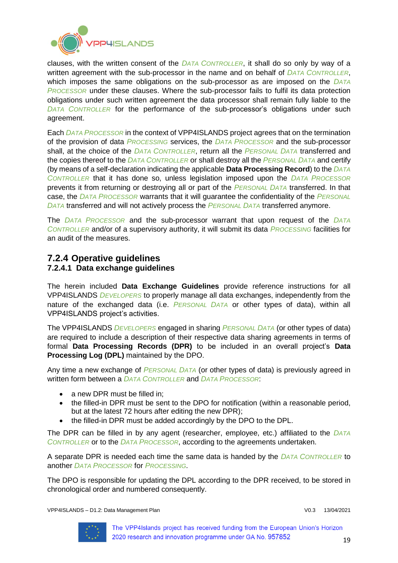

clauses, with the written consent of the *DATA CONTROLLER*, it shall do so only by way of a written agreement with the sub-processor in the name and on behalf of *DATA CONTROLLER*, which imposes the same obligations on the sub-processor as are imposed on the *DATA PROCESSOR* under these clauses. Where the sub-processor fails to fulfil its data protection obligations under such written agreement the data processor shall remain fully liable to the *DATA CONTROLLER* for the performance of the sub-processor's obligations under such agreement.

Each *DATA PROCESSOR* in the context of VPP4ISLANDS project agrees that on the termination of the provision of data *PROCESSING* services, the *DATA PROCESSOR* and the sub-processor shall, at the choice of the *DATA CONTROLLER*, return all the *PERSONAL DATA* transferred and the copies thereof to the *DATA CONTROLLER* or shall destroy all the *PERSONAL DATA* and certify (by means of a self-declaration indicating the applicable **Data Processing Record**) to the *DATA CONTROLLER* that it has done so, unless legislation imposed upon the *DATA PROCESSOR* prevents it from returning or destroying all or part of the *PERSONAL DATA* transferred. In that case, the *DATA PROCESSOR* warrants that it will guarantee the confidentiality of the *PERSONAL DATA* transferred and will not actively process the *PERSONAL DATA* transferred anymore.

The *DATA PROCESSOR* and the sub-processor warrant that upon request of the *DATA CONTROLLER* and/or of a supervisory authority, it will submit its data *PROCESSING* facilities for an audit of the measures.

## <span id="page-18-0"></span>**7.2.4 Operative guidelines 7.2.4.1 Data exchange guidelines**

The herein included **Data Exchange Guidelines** provide reference instructions for all VPP4ISLANDS *DEVELOPERS* to properly manage all data exchanges, independently from the nature of the exchanged data (i.e. *PERSONAL DATA* or other types of data), within all VPP4ISLANDS project's activities.

The VPP4ISLANDS *DEVELOPERS* engaged in sharing *PERSONAL DATA* (or other types of data) are required to include a description of their respective data sharing agreements in terms of formal **Data Processing Records (DPR)** to be included in an overall project's **Data Processing Log (DPL)** maintained by the DPO.

Any time a new exchange of *PERSONAL DATA* (or other types of data) is previously agreed in written form between a *DATA CONTROLLER* and *DATA PROCESSOR*:

- a new DPR must be filled in:
- the filled-in DPR must be sent to the DPO for notification (within a reasonable period, but at the latest 72 hours after editing the new DPR);
- the filled-in DPR must be added accordingly by the DPO to the DPL.

The DPR can be filled in by any agent (researcher, employee, etc.) affiliated to the *DATA CONTROLLER* or to the *DATA PROCESSOR*, according to the agreements undertaken.

A separate DPR is needed each time the same data is handed by the *DATA CONTROLLER* to another *DATA PROCESSOR* for *PROCESSING*.

The DPO is responsible for updating the DPL according to the DPR received, to be stored in chronological order and numbered consequently.

VPP4ISLANDS – D1.2: Data Management Plan V0.3 13/04/2021

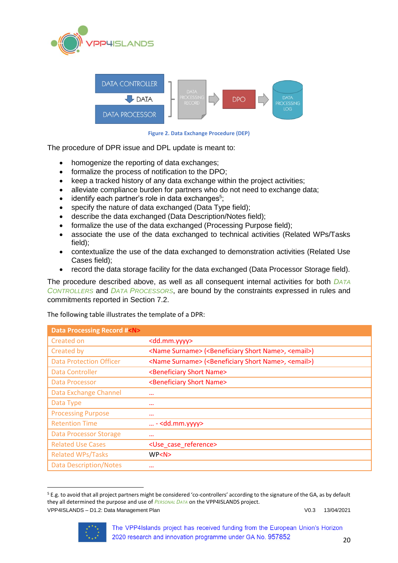



**Figure 2. Data Exchange Procedure (DEP)**

The procedure of DPR issue and DPL update is meant to:

- homogenize the reporting of data exchanges;
- formalize the process of notification to the DPO;
- keep a tracked history of any data exchange within the project activities;
- alleviate compliance burden for partners who do not need to exchange data:
- identify each partner's role in data exchanges<sup>5</sup>;
- specify the nature of data exchanged (Data Type field);
- describe the data exchanged (Data Description/Notes field);
- formalize the use of the data exchanged (Processing Purpose field);
- associate the use of the data exchanged to technical activities (Related WPs/Tasks field);
- contextualize the use of the data exchanged to demonstration activities (Related Use Cases field);
- record the data storage facility for the data exchanged (Data Processor Storage field).

The procedure described above, as well as all consequent internal activities for both *DATA CONTROLLERS* and *DATA PROCESSORS*, are bound by the constraints expressed in rules and commitments reported in Section [7.2.](#page-12-0)

#### The following table illustrates the template of a DPR:

| <b>Data Processing Record #<n></n></b> |                                                                                          |
|----------------------------------------|------------------------------------------------------------------------------------------|
| Created on                             | <dd.mm.yyyy></dd.mm.yyyy>                                                                |
| Created by                             | <name surname=""> (<beneficiary name="" short="">, <email>)</email></beneficiary></name> |
| <b>Data Protection Officer</b>         | <name surname=""> (<beneficiary name="" short="">, <email>)</email></beneficiary></name> |
| Data Controller                        | <beneficiary name="" short=""></beneficiary>                                             |
| Data Processor                         | <beneficiary name="" short=""></beneficiary>                                             |
| Data Exchange Channel                  | $\cdots$                                                                                 |
| Data Type                              | $\cdots$                                                                                 |
| <b>Processing Purpose</b>              | $\cdots$                                                                                 |
| <b>Retention Time</b>                  | $$ - <dd.mm.yyyy></dd.mm.yyyy>                                                           |
| <b>Data Processor Storage</b>          | $\cdots$                                                                                 |
| <b>Related Use Cases</b>               | <use case="" reference=""></use>                                                         |
| <b>Related WPs/Tasks</b>               | WP < N                                                                                   |
| <b>Data Description/Notes</b>          | $\cdots$                                                                                 |

VPP4ISLANDS – D1.2: Data Management Plan V0.3 13/04/2021 <sup>5</sup> E.g. to avoid that all project partners might be considered 'co-controllers' according to the signature of the GA, as by default they all determined the purpose and use of *PERSONAL DATA* on the VPP4ISLANDS project.



**.**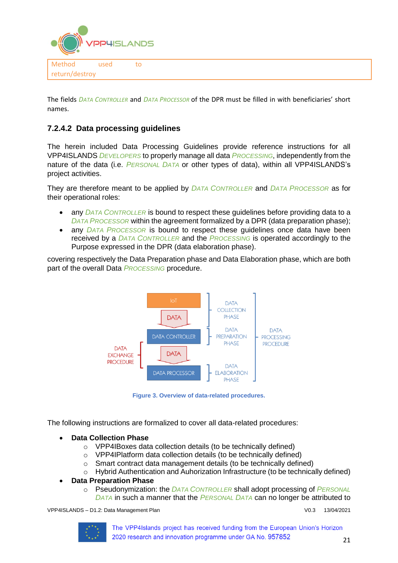

The fields *DATA CONTROLLER* and *DATA PROCESSOR* of the DPR must be filled in with beneficiaries' short names.

## **7.2.4.2 Data processing guidelines**

The herein included Data Processing Guidelines provide reference instructions for all VPP4ISLANDS *DEVELOPERS* to properly manage all data *PROCESSING*, independently from the nature of the data (i.e. *PERSONAL DATA* or other types of data), within all VPP4ISLANDS's project activities.

They are therefore meant to be applied by *DATA CONTROLLER* and *DATA PROCESSOR* as for their operational roles:

- any *DATA CONTROLLER* is bound to respect these guidelines before providing data to a *DATA PROCESSOR* within the agreement formalized by a DPR (data preparation phase);
- any *DATA PROCESSOR* is bound to respect these guidelines once data have been received by a *DATA CONTROLLER* and the *PROCESSING* is operated accordingly to the Purpose expressed in the DPR (data elaboration phase).

covering respectively the Data Preparation phase and Data Elaboration phase, which are both part of the overall Data *PROCESSING* procedure.



**Figure 3. Overview of data-related procedures.**

The following instructions are formalized to cover all data-related procedures:

- **Data Collection Phase**
	- o VPP4IBoxes data collection details (to be technically defined)
	- o VPP4IPlatform data collection details (to be technically defined)
	- o Smart contract data management details (to be technically defined)
	- o Hybrid Authentication and Auhorization Infrastructure (to be technically defined)

### • **Data Preparation Phase**

o Pseudonymization: the *DATA CONTROLLER* shall adopt processing of *PERSONAL DATA* in such a manner that the *PERSONAL DATA* can no longer be attributed to

VPP4ISLANDS – D1.2: Data Management Plan V0.3 13/04/2021

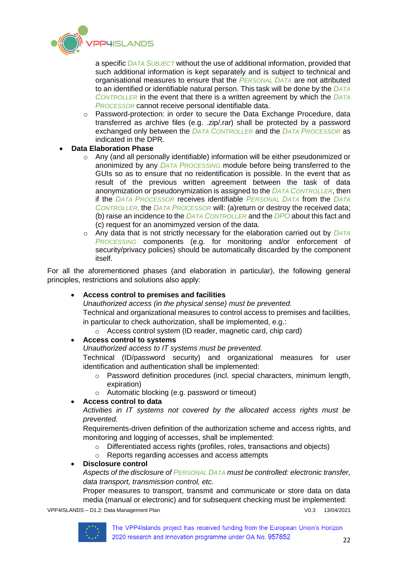

a specific *DATA SUBJECT* without the use of additional information, provided that such additional information is kept separately and is subject to technical and organisational measures to ensure that the *PERSONAL DATA* are not attributed to an identified or identifiable natural person. This task will be done by the *DATA CONTROLLER* in the event that there is a written agreement by which the *DATA PROCESSOR* cannot receive personal identifiable data.

- o Password-protection: in order to secure the Data Exchange Procedure, data transferred as archive files (e.g. .zip/.rar) shall be protected by a password exchanged only between the *DATA CONTROLLER* and the *DATA PROCESSOR* as indicated in the DPR.
- **Data Elaboration Phase**
	- o Any (and all personally identifiable) information will be either pseudonimized or anonimized by any *DATA PROCESSING* module before being transferred to the GUIs so as to ensure that no reidentification is possible. In the event that as result of the previous written agreement between the task of data anonymization or pseudonymization is assigned to the *DATA CONTROLLER*, then if the *DATA PROCESSOR* receives identifiable *PERSONAL DATA* from the *DATA CONTROLLER,* the *DATA PROCESSOR* will: (a)return or destroy the received data; (b) raise an incidence to the *DATA CONTROLLER* and the *DPO* about this fact and (c) request for an anomimyzed version of the data.
	- o Any data that is not strictly necessary for the elaboration carried out by *DATA PROCESSING* components (e.g. for monitoring and/or enforcement of security/privacy policies) should be automatically discarded by the component itself.

For all the aforementioned phases (and elaboration in particular), the following general principles, restrictions and solutions also apply:

### • **Access control to premises and facilities**

*Unauthorized access (in the physical sense) must be prevented.* Technical and organizational measures to control access to premises and facilities, in particular to check authorization, shall be implemented, e.g.:

o Access control system (ID reader, magnetic card, chip card)

### • **Access control to systems**

*Unauthorized access to IT systems must be prevented.*

Technical (ID/password security) and organizational measures for user identification and authentication shall be implemented:

- $\circ$  Password definition procedures (incl. special characters, minimum length, expiration)
- o Automatic blocking (e.g. password or timeout)

### • **Access control to data**

*Activities in IT systems not covered by the allocated access rights must be prevented.*

Requirements-driven definition of the authorization scheme and access rights, and monitoring and logging of accesses, shall be implemented:

- o Differentiated access rights (profiles, roles, transactions and objects)
- o Reports regarding accesses and access attempts

### • **Disclosure control**

*Aspects of the disclosure of PERSONAL DATA must be controlled: electronic transfer, data transport, transmission control, etc.*

Proper measures to transport, transmit and communicate or store data on data media (manual or electronic) and for subsequent checking must be implemented:

VPP4ISLANDS – D1.2: Data Management Plan Vertical Communication of V0.3 13/04/2021